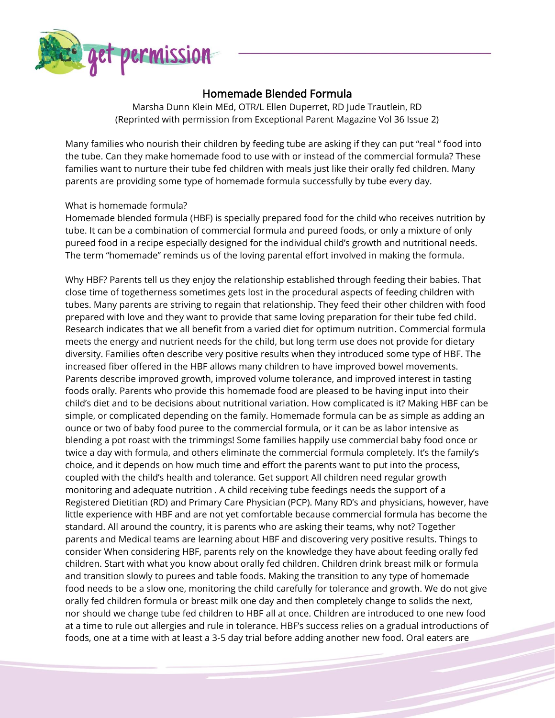

## Homemade Blended Formula

Marsha Dunn Klein MEd, OTR/L Ellen Duperret, RD Jude Trautlein, RD (Reprinted with permission from Exceptional Parent Magazine Vol 36 Issue 2)

Many families who nourish their children by feeding tube are asking if they can put "real " food into the tube. Can they make homemade food to use with or instead of the commercial formula? These families want to nurture their tube fed children with meals just like their orally fed children. Many parents are providing some type of homemade formula successfully by tube every day.

## What is homemade formula?

Homemade blended formula (HBF) is specially prepared food for the child who receives nutrition by tube. It can be a combination of commercial formula and pureed foods, or only a mixture of only pureed food in a recipe especially designed for the individual child's growth and nutritional needs. The term "homemade" reminds us of the loving parental effort involved in making the formula.

Why HBF? Parents tell us they enjoy the relationship established through feeding their babies. That close time of togetherness sometimes gets lost in the procedural aspects of feeding children with tubes. Many parents are striving to regain that relationship. They feed their other children with food prepared with love and they want to provide that same loving preparation for their tube fed child. Research indicates that we all benefit from a varied diet for optimum nutrition. Commercial formula meets the energy and nutrient needs for the child, but long term use does not provide for dietary diversity. Families often describe very positive results when they introduced some type of HBF. The increased fiber offered in the HBF allows many children to have improved bowel movements. Parents describe improved growth, improved volume tolerance, and improved interest in tasting foods orally. Parents who provide this homemade food are pleased to be having input into their child's diet and to be decisions about nutritional variation. How complicated is it? Making HBF can be simple, or complicated depending on the family. Homemade formula can be as simple as adding an ounce or two of baby food puree to the commercial formula, or it can be as labor intensive as blending a pot roast with the trimmings! Some families happily use commercial baby food once or twice a day with formula, and others eliminate the commercial formula completely. It's the family's choice, and it depends on how much time and effort the parents want to put into the process, coupled with the child's health and tolerance. Get support All children need regular growth monitoring and adequate nutrition . A child receiving tube feedings needs the support of a Registered Dietitian (RD) and Primary Care Physician (PCP). Many RD's and physicians, however, have little experience with HBF and are not yet comfortable because commercial formula has become the standard. All around the country, it is parents who are asking their teams, why not? Together parents and Medical teams are learning about HBF and discovering very positive results. Things to consider When considering HBF, parents rely on the knowledge they have about feeding orally fed children. Start with what you know about orally fed children. Children drink breast milk or formula and transition slowly to purees and table foods. Making the transition to any type of homemade food needs to be a slow one, monitoring the child carefully for tolerance and growth. We do not give orally fed children formula or breast milk one day and then completely change to solids the next, nor should we change tube fed children to HBF all at once. Children are introduced to one new food at a time to rule out allergies and rule in tolerance. HBF's success relies on a gradual introductions of foods, one at a time with at least a 3-5 day trial before adding another new food. Oral eaters are